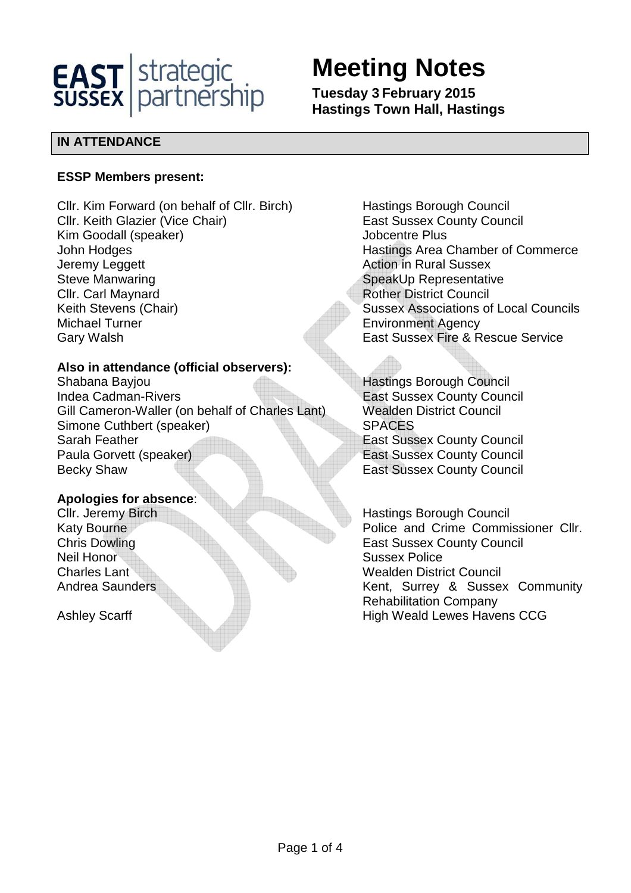

# **Meeting Notes**

**Tuesday 3 February 2015 Hastings Town Hall, Hastings** 

# **IN ATTENDANCE**

#### **ESSP Members present:**

Cllr. Kim Forward (on behalf of Cllr. Birch) Hastings Borough Council Cllr. Keith Glazier (Vice Chair) East Sussex County Council Kim Goodall (speaker) Solid Controller Superinten Plus John Hodges **Hastings Area Chamber of Commerce** Jeremy Leggett **Action** in Rural Sussex Steve Manwaring Steve Manwaring Steve Manwaring Steve Manwaring Cllr. Carl Maynard **Rother District Council** Rother District Council Keith Stevens (Chair) Sussex Associations of Local Councils Michael Turner **Environment Agency** Gary Walsh East Sussex Fire & Rescue Service

# **Also in attendance (official observers):**

Shabana Bayjou **Hastings Borough Council** Indea Cadman-Rivers **East Sussex County Council** Gill Cameron-Waller (on behalf of Charles Lant) Wealden District Council Simone Cuthbert (speaker) SPACES Sarah Feather **East Sussex County Council** Council Paula Gorvett (speaker) East Sussex County Council Becky Shaw **East Sussex County Council** 

# **Apologies for absence**:

Neil Honor Sussex Police

Cllr. Jeremy Birch **Hastings Borough Council** Katy Bourne **Police and Crime Commissioner Cllr.** Police and Crime Commissioner Cllr. **Chris Dowling Chris County Council** East Sussex County Council Charles Lant Wealden District Council Andrea Saunders **Kent, Surrey & Sussex Community** Rehabilitation Company Ashley Scarff **High Weald Lewes Havens CCG**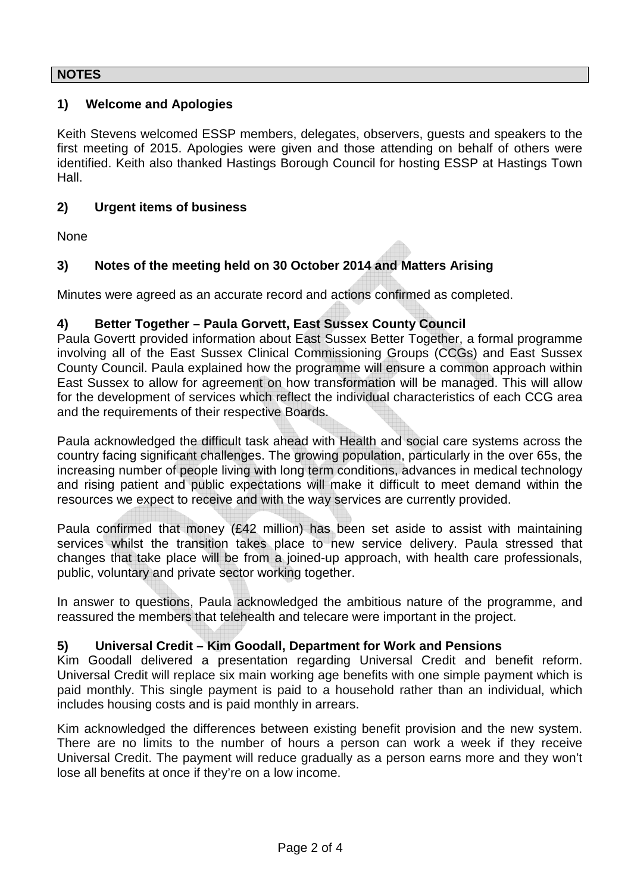#### **NOTES**

#### **1) Welcome and Apologies**

Keith Stevens welcomed ESSP members, delegates, observers, guests and speakers to the first meeting of 2015. Apologies were given and those attending on behalf of others were identified. Keith also thanked Hastings Borough Council for hosting ESSP at Hastings Town Hall.

#### **2) Urgent items of business**

None

# **3) Notes of the meeting held on 30 October 2014 and Matters Arising**

Minutes were agreed as an accurate record and actions confirmed as completed.

#### **4) Better Together – Paula Gorvett, East Sussex County Council**

Paula Govertt provided information about East Sussex Better Together, a formal programme involving all of the East Sussex Clinical Commissioning Groups (CCGs) and East Sussex County Council. Paula explained how the programme will ensure a common approach within East Sussex to allow for agreement on how transformation will be managed. This will allow for the development of services which reflect the individual characteristics of each CCG area and the requirements of their respective Boards.

Paula acknowledged the difficult task ahead with Health and social care systems across the country facing significant challenges. The growing population, particularly in the over 65s, the increasing number of people living with long term conditions, advances in medical technology and rising patient and public expectations will make it difficult to meet demand within the resources we expect to receive and with the way services are currently provided.

Paula confirmed that money (£42 million) has been set aside to assist with maintaining services whilst the transition takes place to new service delivery. Paula stressed that changes that take place will be from a joined-up approach, with health care professionals, public, voluntary and private sector working together.

In answer to questions, Paula acknowledged the ambitious nature of the programme, and reassured the members that telehealth and telecare were important in the project.

#### **5) Universal Credit – Kim Goodall, Department for Work and Pensions**

Kim Goodall delivered a presentation regarding Universal Credit and benefit reform. Universal Credit will replace six main working age benefits with one simple payment which is paid monthly. This single payment is paid to a household rather than an individual, which includes housing costs and is paid monthly in arrears.

Kim acknowledged the differences between existing benefit provision and the new system. There are no limits to the number of hours a person can work a week if they receive Universal Credit. The payment will reduce gradually as a person earns more and they won't lose all benefits at once if they're on a low income.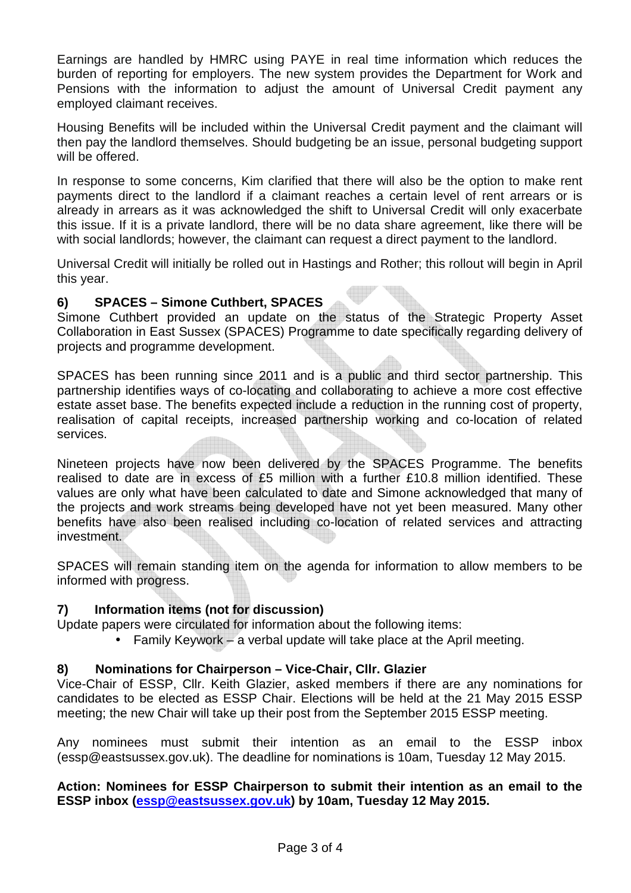Earnings are handled by HMRC using PAYE in real time information which reduces the burden of reporting for employers. The new system provides the Department for Work and Pensions with the information to adjust the amount of Universal Credit payment any employed claimant receives.

Housing Benefits will be included within the Universal Credit payment and the claimant will then pay the landlord themselves. Should budgeting be an issue, personal budgeting support will be offered.

In response to some concerns, Kim clarified that there will also be the option to make rent payments direct to the landlord if a claimant reaches a certain level of rent arrears or is already in arrears as it was acknowledged the shift to Universal Credit will only exacerbate this issue. If it is a private landlord, there will be no data share agreement, like there will be with social landlords; however, the claimant can request a direct payment to the landlord.

Universal Credit will initially be rolled out in Hastings and Rother; this rollout will begin in April this year.

#### **6) SPACES – Simone Cuthbert, SPACES**

Simone Cuthbert provided an update on the status of the Strategic Property Asset Collaboration in East Sussex (SPACES) Programme to date specifically regarding delivery of projects and programme development.

SPACES has been running since 2011 and is a public and third sector partnership. This partnership identifies ways of co-locating and collaborating to achieve a more cost effective estate asset base. The benefits expected include a reduction in the running cost of property, realisation of capital receipts, increased partnership working and co-location of related services.

Nineteen projects have now been delivered by the SPACES Programme. The benefits realised to date are in excess of £5 million with a further £10.8 million identified. These values are only what have been calculated to date and Simone acknowledged that many of the projects and work streams being developed have not yet been measured. Many other benefits have also been realised including co-location of related services and attracting investment.

SPACES will remain standing item on the agenda for information to allow members to be informed with progress.

# **7) Information items (not for discussion)**

Update papers were circulated for information about the following items:

• Family Keywork – a verbal update will take place at the April meeting.

# **8) Nominations for Chairperson – Vice-Chair, Cllr. Glazier**

Vice-Chair of ESSP, Cllr. Keith Glazier, asked members if there are any nominations for candidates to be elected as ESSP Chair. Elections will be held at the 21 May 2015 ESSP meeting; the new Chair will take up their post from the September 2015 ESSP meeting.

Any nominees must submit their intention as an email to the ESSP inbox (essp@eastsussex.gov.uk). The deadline for nominations is 10am, Tuesday 12 May 2015.

#### **Action: Nominees for ESSP Chairperson to submit their intention as an email to the ESSP inbox (essp@eastsussex.gov.uk) by 10am, Tuesday 12 May 2015.**